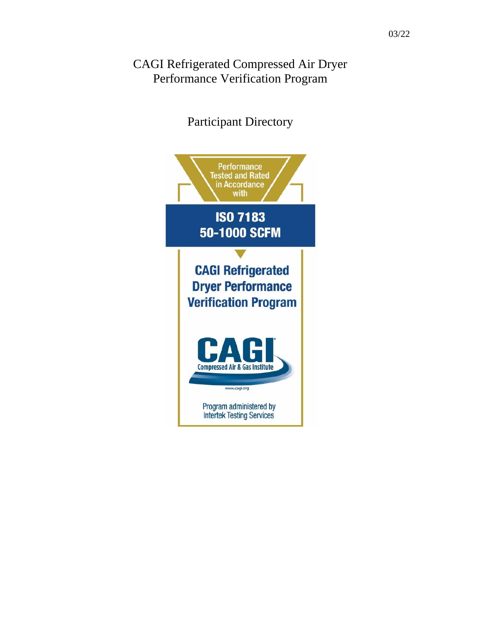# CAGI Refrigerated Compressed Air Dryer Performance Verification Program

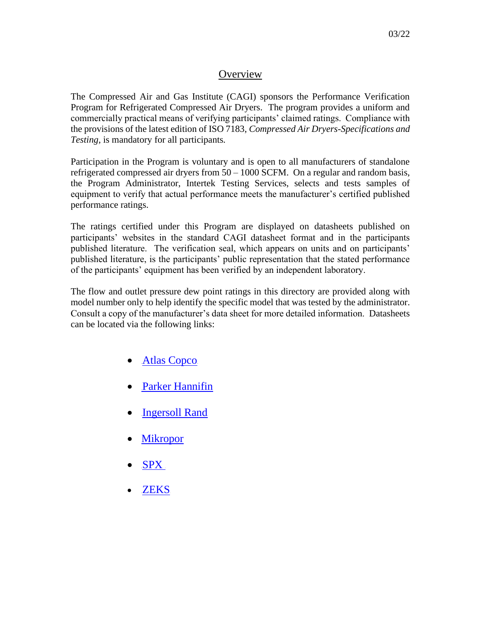### **Overview**

<span id="page-1-0"></span>The Compressed Air and Gas Institute (CAGI) sponsors the Performance Verification Program for Refrigerated Compressed Air Dryers. The program provides a uniform and commercially practical means of verifying participants' claimed ratings. Compliance with the provisions of the latest edition of ISO 7183, *Compressed Air Dryers-Specifications and Testing,* is mandatory for all participants*.*

Participation in the Program is voluntary and is open to all manufacturers of standalone refrigerated compressed air dryers from 50 – 1000 SCFM. On a regular and random basis, the Program Administrator, Intertek Testing Services, selects and tests samples of equipment to verify that actual performance meets the manufacturer's certified published performance ratings.

The ratings certified under this Program are displayed on datasheets published on participants' websites in the standard CAGI datasheet format and in the participants published literature. The verification seal, which appears on units and on participants' published literature, is the participants' public representation that the stated performance of the participants' equipment has been verified by an independent laboratory.

The flow and outlet pressure dew point ratings in this directory are provided along with model number only to help identify the specific model that was tested by the administrator. Consult a copy of the manufacturer's data sheet for more detailed information. Datasheets can be located via the following links:

- [Atlas Copco](https://www.atlascopco.com/en-us/compressors/cagi-data-sheets)
- [Parker Hannifin](http://www.parker.com/portal/site/PARKER/menuitem.bc659799d3cf5c6315731910237ad1ca/?vgnextoid=78b6000b2875e210VgnVCM10000048021dacRCRD&vgnextfmt=EN&l1page=true&l1cat=54504ff7b0eca410VgnVCM10000014a71dacRCRD&l1catname=Compliance%2C+Certifications%2C+%26+Safety+)
- **[Ingersoll Rand](https://www.ingersollrandproducts.com/en-us/air-compressor/cagi-data-sheets/air-treatment.html)**
- **[Mikropor](https://www.mikroporamerica.com/quality/#cagi)**
- $\langle$  [SPX](http://www.spxflow.com/en/hankison/information-downloads/product-literature/)  $\rangle$
- **[ZEKS](https://www.zeks.com/en/support/cagi-data-sheets.html)**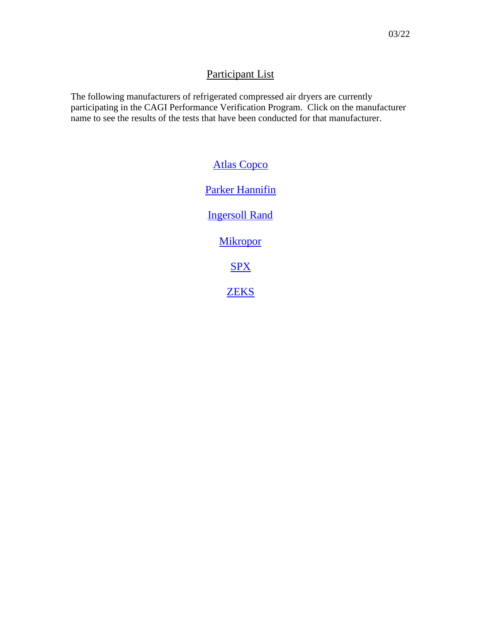#### Participant List

<span id="page-2-0"></span>The following manufacturers of refrigerated compressed air dryers are currently participating in the CAGI Performance Verification Program. Click on the manufacturer name to see the results of the tests that have been conducted for that manufacturer.

> [Atlas Copco](#page-3-0) [Parker Hannifin](#page-4-0) **[Ingersoll Rand](#page-5-0) [Mikropor](#page-7-0)** [SPX](#page-8-0) [ZEKS](#page-9-0)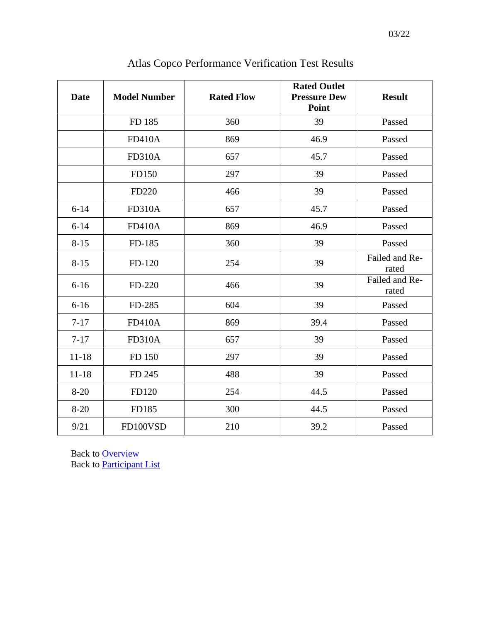<span id="page-3-0"></span>

| <b>Date</b> | <b>Model Number</b> | <b>Rated Flow</b> | <b>Rated Outlet</b><br><b>Pressure Dew</b><br>Point | <b>Result</b>           |
|-------------|---------------------|-------------------|-----------------------------------------------------|-------------------------|
|             | FD 185              | 360               | 39                                                  | Passed                  |
|             | <b>FD410A</b>       | 869               | 46.9                                                | Passed                  |
|             | <b>FD310A</b>       | 657               | 45.7                                                | Passed                  |
|             | FD150               | 297               | 39                                                  | Passed                  |
|             | FD220               | 466               | 39                                                  | Passed                  |
| $6 - 14$    | <b>FD310A</b>       | 657               | 45.7                                                | Passed                  |
| $6 - 14$    | <b>FD410A</b>       | 869               | 46.9                                                | Passed                  |
| $8 - 15$    | FD-185              | 360               | 39                                                  | Passed                  |
| $8 - 15$    | FD-120              | 254               | 39                                                  | Failed and Re-<br>rated |
| $6 - 16$    | FD-220              | 466               | 39                                                  | Failed and Re-<br>rated |
| $6 - 16$    | FD-285              | 604               | 39                                                  | Passed                  |
| $7 - 17$    | <b>FD410A</b>       | 869               | 39.4                                                | Passed                  |
| $7 - 17$    | <b>FD310A</b>       | 657               | 39                                                  | Passed                  |
| $11 - 18$   | FD 150              | 297               | 39                                                  | Passed                  |
| $11 - 18$   | FD 245              | 488               | 39                                                  | Passed                  |
| $8 - 20$    | FD120               | 254               | 44.5                                                | Passed                  |
| $8 - 20$    | FD185               | 300               | 44.5                                                | Passed                  |
| 9/21        | FD100VSD            | 210               | 39.2                                                | Passed                  |

Atlas Copco Performance Verification Test Results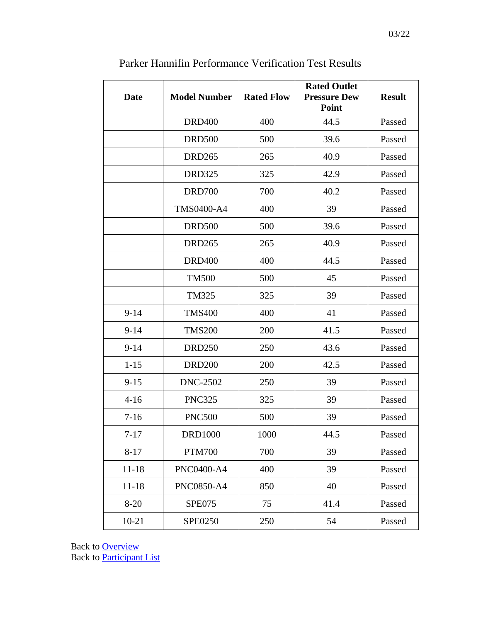<span id="page-4-0"></span>

| <b>Date</b> | <b>Model Number</b> | <b>Rated Flow</b> | <b>Rated Outlet</b><br><b>Pressure Dew</b><br><b>Point</b> | <b>Result</b> |
|-------------|---------------------|-------------------|------------------------------------------------------------|---------------|
|             | <b>DRD400</b>       | 400               | 44.5                                                       | Passed        |
|             | <b>DRD500</b>       | 500               | 39.6                                                       | Passed        |
|             | <b>DRD265</b>       | 265               | 40.9                                                       | Passed        |
|             | <b>DRD325</b>       | 325               | 42.9                                                       | Passed        |
|             | <b>DRD700</b>       | 700               | 40.2                                                       | Passed        |
|             | TMS0400-A4          | 400               | 39                                                         | Passed        |
|             | <b>DRD500</b>       | 500               | 39.6                                                       | Passed        |
|             | <b>DRD265</b>       | 265               | 40.9                                                       | Passed        |
|             | <b>DRD400</b>       | 400               | 44.5                                                       | Passed        |
|             | <b>TM500</b>        | 500               | 45                                                         | Passed        |
|             | TM325               | 325               | 39                                                         | Passed        |
| $9 - 14$    | <b>TMS400</b>       | 400               | 41                                                         | Passed        |
| $9 - 14$    | <b>TMS200</b>       | 200               | 41.5                                                       | Passed        |
| $9 - 14$    | <b>DRD250</b>       | 250               | 43.6                                                       | Passed        |
| $1 - 15$    | <b>DRD200</b>       | 200               | 42.5                                                       | Passed        |
| $9 - 15$    | <b>DNC-2502</b>     | 250               | 39                                                         | Passed        |
| $4 - 16$    | <b>PNC325</b>       | 325               | 39                                                         | Passed        |
| $7 - 16$    | <b>PNC500</b>       | 500               | 39                                                         | Passed        |
| $7-17$      | <b>DRD1000</b>      | 1000              | 44.5                                                       | Passed        |
| $8 - 17$    | <b>PTM700</b>       | 700               | 39                                                         | Passed        |
| $11 - 18$   | PNC0400-A4          | 400               | 39                                                         | Passed        |
| $11 - 18$   | PNC0850-A4          | 850               | 40                                                         | Passed        |
| $8 - 20$    | <b>SPE075</b>       | 75                | 41.4                                                       | Passed        |
| $10 - 21$   | SPE0250             | 250               | 54                                                         | Passed        |

Parker Hannifin Performance Verification Test Results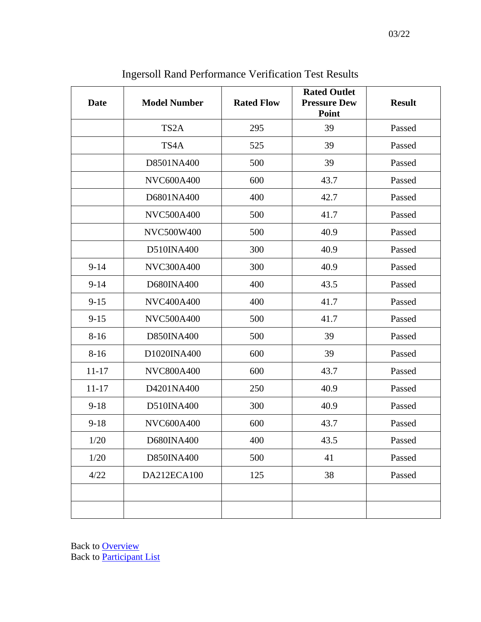<span id="page-5-0"></span>

| <b>Date</b> | <b>Model Number</b> | <b>Rated Flow</b> | <b>Rated Outlet</b><br><b>Pressure Dew</b><br><b>Point</b> | <b>Result</b> |
|-------------|---------------------|-------------------|------------------------------------------------------------|---------------|
|             | TS <sub>2</sub> A   | 295               | 39                                                         | Passed        |
|             | TS4A                | 525               | 39                                                         | Passed        |
|             | D8501NA400          | 500               | 39                                                         | Passed        |
|             | <b>NVC600A400</b>   | 600               | 43.7                                                       | Passed        |
|             | D6801NA400          | 400               | 42.7                                                       | Passed        |
|             | <b>NVC500A400</b>   | 500               | 41.7                                                       | Passed        |
|             | <b>NVC500W400</b>   | 500               | 40.9                                                       | Passed        |
|             | D510INA400          | 300               | 40.9                                                       | Passed        |
| $9 - 14$    | <b>NVC300A400</b>   | 300               | 40.9                                                       | Passed        |
| $9 - 14$    | D680INA400          | 400               | 43.5                                                       | Passed        |
| $9 - 15$    | <b>NVC400A400</b>   | 400               | 41.7                                                       | Passed        |
| $9 - 15$    | <b>NVC500A400</b>   | 500               | 41.7                                                       | Passed        |
| $8 - 16$    | D850INA400          | 500               | 39                                                         | Passed        |
| $8 - 16$    | D1020INA400         | 600               | 39                                                         | Passed        |
| $11 - 17$   | <b>NVC800A400</b>   | 600               | 43.7                                                       | Passed        |
| $11 - 17$   | D4201NA400          | 250               | 40.9                                                       | Passed        |
| $9 - 18$    | D510INA400          | 300               | 40.9                                                       | Passed        |
| $9 - 18$    | NVC600A400          | 600               | 43.7                                                       | Passed        |
| 1/20        | D680INA400          | 400               | 43.5                                                       | Passed        |
| 1/20        | D850INA400          | 500               | 41                                                         | Passed        |
| 4/22        | DA212ECA100         | 125               | 38                                                         | Passed        |
|             |                     |                   |                                                            |               |
|             |                     |                   |                                                            |               |

Ingersoll Rand Performance Verification Test Results

Back to [Overview](#page-1-0) Back to *Participant List*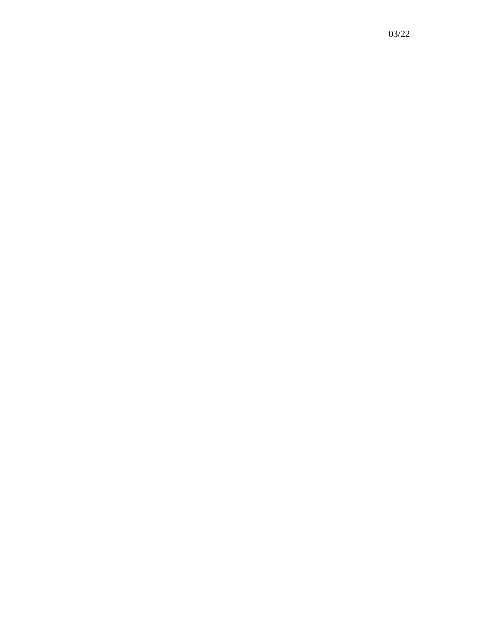03/22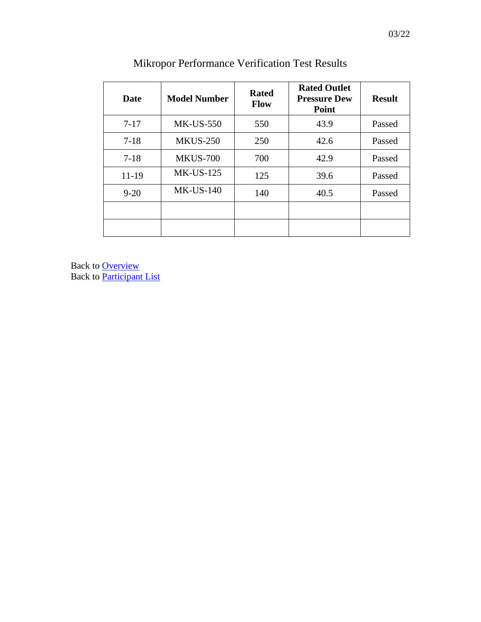<span id="page-7-0"></span>

| <b>Date</b> | <b>Model Number</b> | <b>Rated</b><br><b>Flow</b> | <b>Rated Outlet</b><br><b>Pressure Dew</b><br>Point | <b>Result</b> |
|-------------|---------------------|-----------------------------|-----------------------------------------------------|---------------|
| $7 - 17$    | <b>MK-US-550</b>    | 550                         | 43.9                                                | Passed        |
| $7-18$      | <b>MKUS-250</b>     | 250                         | 42.6                                                | Passed        |
| $7 - 18$    | <b>MKUS-700</b>     | 700                         | 42.9                                                | Passed        |
| 11-19       | <b>MK-US-125</b>    | 125                         | 39.6                                                | Passed        |
| $9 - 20$    | <b>MK-US-140</b>    | 140                         | 40.5                                                | Passed        |
|             |                     |                             |                                                     |               |
|             |                     |                             |                                                     |               |

Mikropor Performance Verification Test Results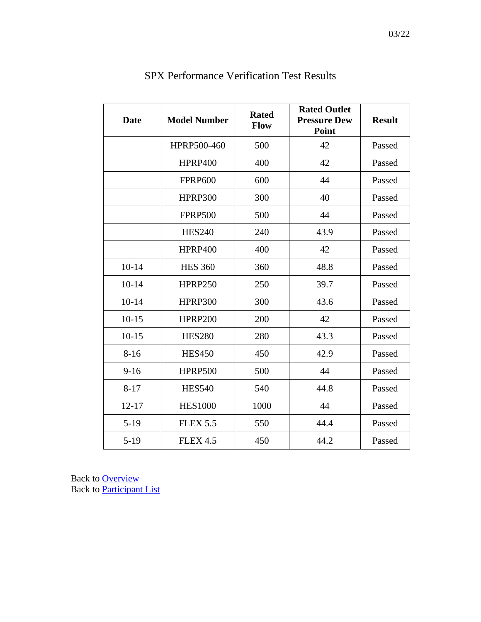<span id="page-8-0"></span>

| <b>Date</b> | <b>Model Number</b> | <b>Rated</b><br>Flow | <b>Rated Outlet</b><br><b>Pressure Dew</b><br>Point | <b>Result</b> |
|-------------|---------------------|----------------------|-----------------------------------------------------|---------------|
|             | HPRP500-460         | 500                  | 42                                                  | Passed        |
|             | <b>HPRP400</b>      | 400                  | 42                                                  | Passed        |
|             | <b>FPRP600</b>      | 600                  | 44                                                  | Passed        |
|             | <b>HPRP300</b>      | 300                  | 40                                                  | Passed        |
|             | <b>FPRP500</b>      | 500                  | 44                                                  | Passed        |
|             | <b>HES240</b>       | 240                  | 43.9                                                | Passed        |
|             | <b>HPRP400</b>      | 400                  | 42                                                  | Passed        |
| $10 - 14$   | <b>HES 360</b>      | 360                  | 48.8                                                | Passed        |
| $10 - 14$   | <b>HPRP250</b>      | 250                  | 39.7                                                | Passed        |
| $10 - 14$   | <b>HPRP300</b>      | 300                  | 43.6                                                | Passed        |
| $10 - 15$   | <b>HPRP200</b>      | 200                  | 42                                                  | Passed        |
| $10 - 15$   | <b>HES280</b>       | 280                  | 43.3                                                | Passed        |
| $8 - 16$    | <b>HES450</b>       | 450                  | 42.9                                                | Passed        |
| $9 - 16$    | <b>HPRP500</b>      | 500                  | 44                                                  | Passed        |
| $8 - 17$    | <b>HES540</b>       | 540                  | 44.8                                                | Passed        |
| $12 - 17$   | <b>HES1000</b>      | 1000                 | 44                                                  | Passed        |
| $5-19$      | <b>FLEX 5.5</b>     | 550                  | 44.4                                                | Passed        |
| $5-19$      | <b>FLEX 4.5</b>     | 450                  | 44.2                                                | Passed        |

## SPX Performance Verification Test Results